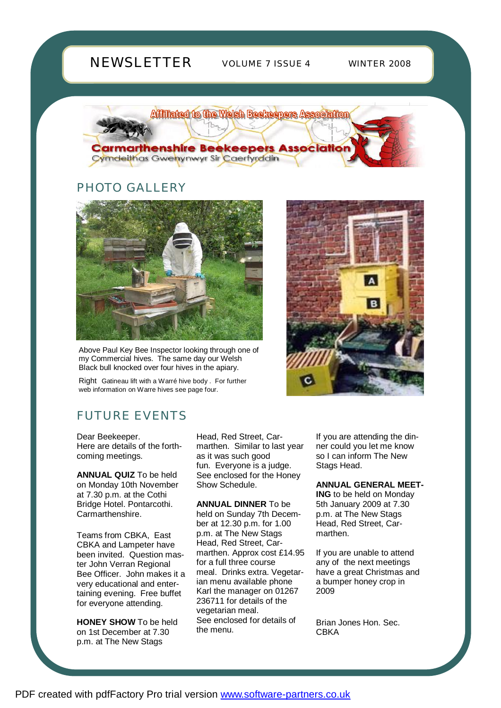# **NEWSLETTER**

VOLUME 7 ISSUE 4 WINTER 2008

Affiliated to the Welsh Beekeepers Association



## PHOTO GALLERY



Above Paul Key Bee Inspector looking through one of my Commercial hives. The same day our Welsh Black bull knocked over four hives in the apiary.

Right Gatineau lift with a Warré hive body . For further web information on Warre hives see page four.

# FUTURE EVENTS

Dear Beekeeper. Here are details of the forthcoming meetings.

**ANNUAL QUIZ** To be held on Monday 10th November at 7.30 p.m. at the Cothi Bridge Hotel. Pontarcothi. Carmarthenshire.

Teams from CBKA, East CBKA and Lampeter have been invited. Question master John Verran Regional Bee Officer. John makes it a very educational and entertaining evening. Free buffet for everyone attending.

**HONEY SHOW** To be held on 1st December at 7.30 p.m. at The New Stags

Head, Red Street, Carmarthen. Similar to last year as it was such good fun. Everyone is a judge. See enclosed for the Honey Show Schedule.

**ANNUAL DINNER** To be held on Sunday 7th December at 12.30 p.m. for 1.00 p.m. at The New Stags Head, Red Street, Carmarthen. Approx cost £14.95 for a full three course meal. Drinks extra. Vegetarian menu available phone Karl the manager on 01267 236711 for details of the vegetarian meal. See enclosed for details of the menu.

If you are attending the dinner could you let me know so I can inform The New Stags Head.

**ANNUAL GENERAL MEET-**

**ING** to be held on Monday 5th January 2009 at 7.30 p.m. at The New Stags Head, Red Street, Carmarthen.

If you are unable to attend any of the next meetings have a great Christmas and a bumper honey crop in 2009

Brian Jones Hon. Sec. **CRKA**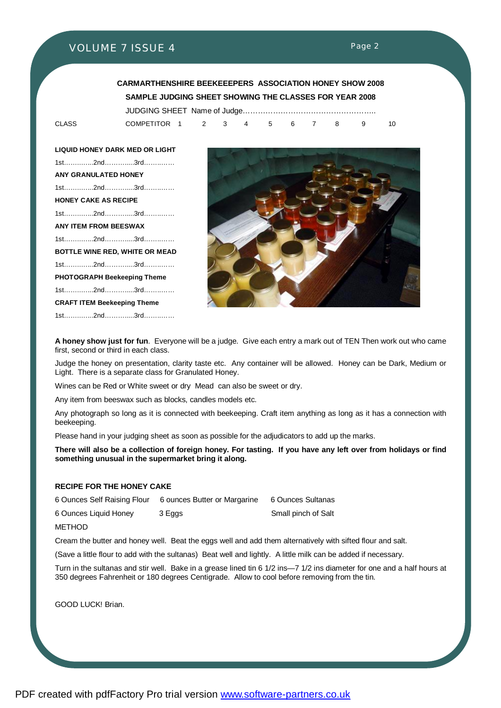Page 2

#### **CARMARTHENSHIRE BEEKEEEPERS ASSOCIATION HONEY SHOW 2008 SAMPLE JUDGING SHEET SHOWING THE CLASSES FOR YEAR 2008**  JUDGING SHEET Name of Judge……………………………………………..

CLASS COMPETITOR 1 2 3 4 5 6 7 8 9 10

**LIQUID HONEY DARK MED OR LIGHT**  1st……..…...2nd……….....3rd……..…… **ANY GRANULATED HONEY**  1st……..…...2nd……….....3rd……..…… **HONEY CAKE AS RECIPE**  1st……..…...2nd……….....3rd……..…… **ANY ITEM FROM BEESWAX**  1st……..…...2nd……….....3rd……..…… **BOTTLE WINE RED, WHITE OR MEAD**  1st……..…...2nd……….....3rd……..…… **PHOTOGRAPH Beekeeping Theme**  1st……..…...2nd……….....3rd……..…… **CRAFT ITEM Beekeeping Theme**  1st……..…...2nd……….....3rd……..……



**A honey show just for fun**. Everyone will be a judge. Give each entry a mark out of TEN Then work out who came first, second or third in each class.

Judge the honey on presentation, clarity taste etc. Any container will be allowed. Honey can be Dark, Medium or Light. There is a separate class for Granulated Honey.

Wines can be Red or White sweet or dry Mead can also be sweet or dry.

Any item from beeswax such as blocks, candles models etc.

Any photograph so long as it is connected with beekeeping. Craft item anything as long as it has a connection with beekeeping.

Please hand in your judging sheet as soon as possible for the adjudicators to add up the marks.

There will also be a collection of foreign honey. For tasting. If you have any left over from holidays or find **something unusual in the supermarket bring it along.** 

#### **RECIPE FOR THE HONEY CAKE**

6 Ounces Self Raising Flour 6 ounces Butter or Margarine 6 Ounces Sultanas

6 Ounces Liquid Honey 3 Eggs Small pinch of Salt

**METHOD** 

Cream the butter and honey well. Beat the eggs well and add them alternatively with sifted flour and salt.

(Save a little flour to add with the sultanas) Beat well and lightly. A little milk can be added if necessary.

Turn in the sultanas and stir well. Bake in a grease lined tin 6 1/2 ins—7 1/2 ins diameter for one and a half hours at 350 degrees Fahrenheit or 180 degrees Centigrade. Allow to cool before removing from the tin.

GOOD LUCK! Brian.

PDF created with pdfFactory Pro trial version [www.software-partners.co.uk](http://www.software-partners.co.uk)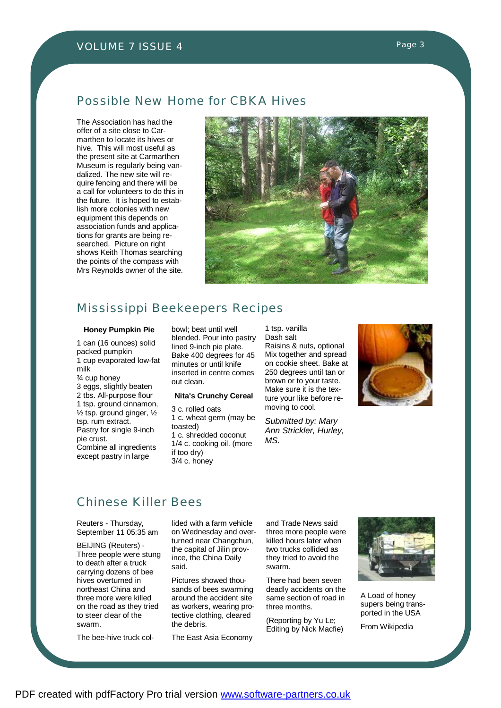### Possible New Home for CBKA Hives

The Association has had the offer of a site close to Carmarthen to locate its hives or hive. This will most useful as the present site at Carmarthen Museum is regularly being vandalized. The new site will require fencing and there will be a call for volunteers to do this in the future. It is hoped to establish more colonies with new equipment this depends on association funds and applications for grants are being researched. Picture on right shows Keith Thomas searching the points of the compass with Mrs Reynolds owner of the site.



#### Mississippi Beekeepers Recipes

#### **Honey Pumpkin Pie**

1 can (16 ounces) solid packed pumpkin 1 cup evaporated low-fat milk ¾ cup honey 3 eggs, slightly beaten 2 tbs. All-purpose flour 1 tsp. ground cinnamon,  $\frac{1}{2}$  tsp. ground ginger,  $\frac{1}{2}$ tsp. rum extract. Pastry for single 9-inch pie crust. Combine all ingredients except pastry in large

bowl; beat until well blended. Pour into pastry lined 9-inch pie plate. Bake 400 degrees for 45 minutes or until knife inserted in centre comes out clean.

#### **Nita's Crunchy Cereal**

3 c. rolled oats 1 c. wheat germ (may be toasted) 1 c. shredded coconut 1/4 c. cooking oil. (more if too dry) 3/4 c. honey

1 tsp. vanilla Dash salt Raisins & nuts, optional Mix together and spread on cookie sheet. Bake at 250 degrees until tan or brown or to your taste. Make sure it is the texture your like before removing to cool.

*Submitted by: Mary Ann Strickler, Hurley, MS.*



## Chinese Killer Bees

Reuters - Thursday, September 11 05:35 am

BEIJING (Reuters) - Three people were stung to death after a truck carrying dozens of bee hives overturned in northeast China and three more were killed on the road as they tried to steer clear of the swarm.

The bee-hive truck col-

lided with a farm vehicle on Wednesday and overturned near Changchun, the capital of Jilin province, the China Daily said.

Pictures showed thousands of bees swarming around the accident site as workers, wearing protective clothing, cleared the debris.

The East Asia Economy

and Trade News said three more people were killed hours later when two trucks collided as they tried to avoid the swarm.

There had been seven deadly accidents on the same section of road in three months.

(Reporting by Yu Le; Editing by Nick Macfie)



A Load of honey supers being transported in the USA

From Wikipedia